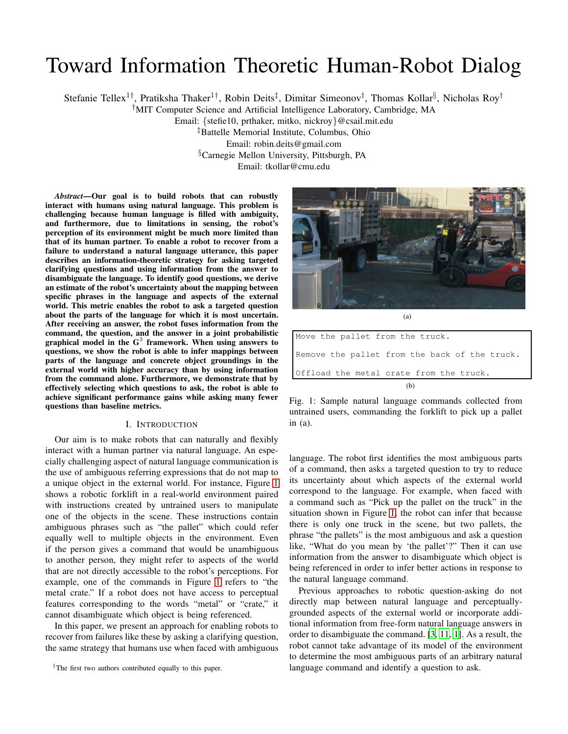# Toward Information Theoretic Human-Robot Dialog

Stefanie Tellex<sup>1†</sup>, Pratiksha Thaker<sup>1†</sup>, Robin Deits<sup>‡</sup>, Dimitar Simeonov<sup>†</sup>, Thomas Kollar<sup>§</sup>, Nicholas Roy<sup>†</sup>

†MIT Computer Science and Artificial Intelligence Laboratory, Cambridge, MA

Email: {stefie10, prthaker, mitko, nickroy}@csail.mit.edu

‡Battelle Memorial Institute, Columbus, Ohio Email: robin.deits@gmail.com

§Carnegie Mellon University, Pittsburgh, PA Email: tkollar@cmu.edu

*Abstract***—Our goal is to build robots that can robustly interact with humans using natural language. This problem is challenging because human language is filled with ambiguity, and furthermore, due to limitations in sensing, the robot's perception of its environment might be much more limited than that of its human partner. To enable a robot to recover from a failure to understand a natural language utterance, this paper describes an information-theoretic strategy for asking targeted clarifying questions and using information from the answer to disambiguate the language. To identify good questions, we derive an estimate of the robot's uncertainty about the mapping between specific phrases in the language and aspects of the external world. This metric enables the robot to ask a targeted question about the parts of the language for which it is most uncertain. After receiving an answer, the robot fuses information from the command, the question, and the answer in a joint probabilistic graphical model in the G**<sup>3</sup> **framework. When using answers to questions, we show the robot is able to infer mappings between parts of the language and concrete object groundings in the external world with higher accuracy than by using information from the command alone. Furthermore, we demonstrate that by effectively selecting which questions to ask, the robot is able to achieve significant performance gains while asking many fewer questions than baseline metrics.**

## I. INTRODUCTION

Our aim is to make robots that can naturally and flexibly interact with a human partner via natural language. An especially challenging aspect of natural language communication is the use of ambiguous referring expressions that do not map to a unique object in the external world. For instance, Figure [1](#page-0-0) shows a robotic forklift in a real-world environment paired with instructions created by untrained users to manipulate one of the objects in the scene. These instructions contain ambiguous phrases such as "the pallet" which could refer equally well to multiple objects in the environment. Even if the person gives a command that would be unambiguous to another person, they might refer to aspects of the world that are not directly accessible to the robot's perceptions. For example, one of the commands in Figure [1](#page-0-0) refers to "the metal crate." If a robot does not have access to perceptual features corresponding to the words "metal" or "crate," it cannot disambiguate which object is being referenced.

In this paper, we present an approach for enabling robots to recover from failures like these by asking a clarifying question, the same strategy that humans use when faced with ambiguous

<sup>1</sup>The first two authors contributed equally to this paper.

<span id="page-0-0"></span>(a)

| Move the pallet from the truck.               |  |  |  |
|-----------------------------------------------|--|--|--|
| Remove the pallet from the back of the truck. |  |  |  |
| Offload the metal crate from the truck.       |  |  |  |
| (b)                                           |  |  |  |

Fig. 1: Sample natural language commands collected from untrained users, commanding the forklift to pick up a pallet in (a).

language. The robot first identifies the most ambiguous parts of a command, then asks a targeted question to try to reduce its uncertainty about which aspects of the external world correspond to the language. For example, when faced with a command such as "Pick up the pallet on the truck" in the situation shown in Figure [1,](#page-0-0) the robot can infer that because there is only one truck in the scene, but two pallets, the phrase "the pallets" is the most ambiguous and ask a question like, "What do you mean by 'the pallet'?" Then it can use information from the answer to disambiguate which object is being referenced in order to infer better actions in response to the natural language command.

Previous approaches to robotic question-asking do not directly map between natural language and perceptuallygrounded aspects of the external world or incorporate additional information from free-form natural language answers in order to disambiguate the command. [\[3](#page-7-0), [11](#page-7-1), [1\]](#page-7-2). As a result, the robot cannot take advantage of its model of the environment to determine the most ambiguous parts of an arbitrary natural language command and identify a question to ask.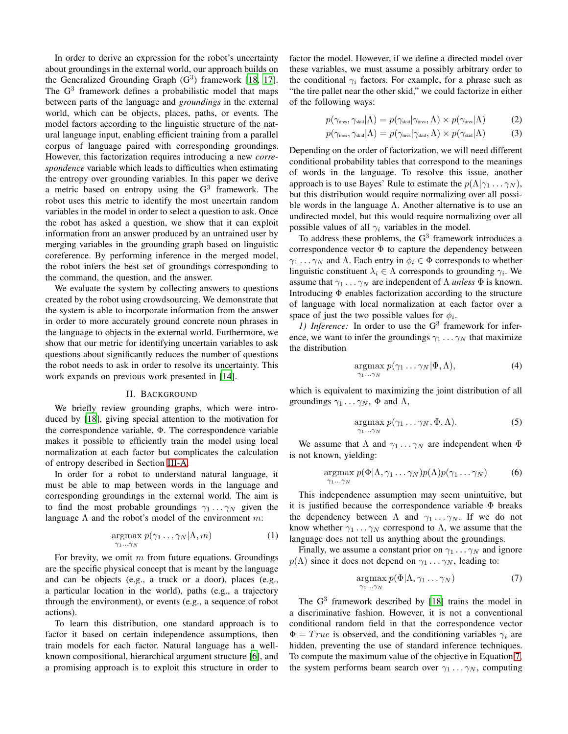In order to derive an expression for the robot's uncertainty about groundings in the external world, our approach builds on the Generalized Grounding Graph  $(G<sup>3</sup>)$  framework [\[18,](#page-7-3) [17](#page-7-4)]. The  $G<sup>3</sup>$  framework defines a probabilistic model that maps between parts of the language and *groundings* in the external world, which can be objects, places, paths, or events. The model factors according to the linguistic structure of the natural language input, enabling efficient training from a parallel corpus of language paired with corresponding groundings. However, this factorization requires introducing a new *correspondence* variable which leads to difficulties when estimating the entropy over grounding variables. In this paper we derive a metric based on entropy using the  $G<sup>3</sup>$  framework. The robot uses this metric to identify the most uncertain random variables in the model in order to select a question to ask. Once the robot has asked a question, we show that it can exploit information from an answer produced by an untrained user by merging variables in the grounding graph based on linguistic coreference. By performing inference in the merged model, the robot infers the best set of groundings corresponding to the command, the question, and the answer.

We evaluate the system by collecting answers to questions created by the robot using crowdsourcing. We demonstrate that the system is able to incorporate information from the answer in order to more accurately ground concrete noun phrases in the language to objects in the external world. Furthermore, we show that our metric for identifying uncertain variables to ask questions about significantly reduces the number of questions the robot needs to ask in order to resolve its uncertainty. This work expands on previous work presented in [\[14\]](#page-7-5).

#### II. BACKGROUND

We briefly review grounding graphs, which were introduced by [\[18](#page-7-3)], giving special attention to the motivation for the correspondence variable, Φ. The correspondence variable makes it possible to efficiently train the model using local normalization at each factor but complicates the calculation of entropy described in Section [III-A.](#page-3-0)

In order for a robot to understand natural language, it must be able to map between words in the language and corresponding groundings in the external world. The aim is to find the most probable groundings  $\gamma_1 \dots \gamma_N$  given the language  $\Lambda$  and the robot's model of the environment m:

$$
\underset{\gamma_1 \dots \gamma_N}{\text{argmax}} \ p(\gamma_1 \dots \gamma_N | \Lambda, m) \tag{1}
$$

For brevity, we omit  $m$  from future equations. Groundings are the specific physical concept that is meant by the language and can be objects (e.g., a truck or a door), places (e.g., a particular location in the world), paths (e.g., a trajectory through the environment), or events (e.g., a sequence of robot actions).

To learn this distribution, one standard approach is to factor it based on certain independence assumptions, then train models for each factor. Natural language has a wellknown compositional, hierarchical argument structure [\[6\]](#page-7-6), and a promising approach is to exploit this structure in order to factor the model. However, if we define a directed model over these variables, we must assume a possibly arbitrary order to the conditional  $\gamma_i$  factors. For example, for a phrase such as "the tire pallet near the other skid," we could factorize in either of the following ways:

$$
p(\gamma_{\text{tires}}, \gamma_{\text{skid}} | \Lambda) = p(\gamma_{\text{skid}} | \gamma_{\text{tires}}, \Lambda) \times p(\gamma_{\text{tires}} | \Lambda)
$$
 (2)

$$
p(\gamma_{\text{ tires}}, \gamma_{\text{skid}} | \Lambda) = p(\gamma_{\text{ tires}} | \gamma_{\text{skid}}, \Lambda) \times p(\gamma_{\text{skid}} | \Lambda)
$$
 (3)

Depending on the order of factorization, we will need different conditional probability tables that correspond to the meanings of words in the language. To resolve this issue, another approach is to use Bayes' Rule to estimate the  $p(\Lambda | \gamma_1 \dots \gamma_N)$ , but this distribution would require normalizing over all possible words in the language  $\Lambda$ . Another alternative is to use an undirected model, but this would require normalizing over all possible values of all  $\gamma_i$  variables in the model.

To address these problems, the  $G<sup>3</sup>$  framework introduces a correspondence vector  $\Phi$  to capture the dependency between  $\gamma_1 \dots \gamma_N$  and  $\Lambda$ . Each entry in  $\phi_i \in \Phi$  corresponds to whether linguistic constituent  $\lambda_i \in \Lambda$  corresponds to grounding  $\gamma_i$ . We assume that  $\gamma_1 \dots \gamma_N$  are independent of  $\Lambda$  *unless*  $\Phi$  is known. Introducing  $\Phi$  enables factorization according to the structure of language with local normalization at each factor over a space of just the two possible values for  $\phi_i$ .

1) Inference: In order to use the G<sup>3</sup> framework for inference, we want to infer the groundings  $\gamma_1 \dots \gamma_N$  that maximize the distribution

$$
\underset{\gamma_1 \dots \gamma_N}{\text{argmax}} \, p(\gamma_1 \dots \gamma_N | \Phi, \Lambda), \tag{4}
$$

which is equivalent to maximizing the joint distribution of all groundings  $\gamma_1 \dots \gamma_N$ ,  $\Phi$  and  $\Lambda$ ,

<span id="page-1-2"></span><span id="page-1-1"></span>
$$
\underset{\gamma_1 \dots \gamma_N}{\text{argmax}} \ p(\gamma_1 \dots \gamma_N, \Phi, \Lambda). \tag{5}
$$

We assume that  $\Lambda$  and  $\gamma_1 \ldots \gamma_N$  are independent when  $\Phi$ is not known, yielding:

$$
\underset{\gamma_1 \dots \gamma_N}{\text{argmax}} \ p(\Phi|\Lambda, \gamma_1 \dots \gamma_N) p(\Lambda) p(\gamma_1 \dots \gamma_N) \tag{6}
$$

This independence assumption may seem unintuitive, but it is justified because the correspondence variable  $\Phi$  breaks the dependency between  $\Lambda$  and  $\gamma_1 \ldots \gamma_N$ . If we do not know whether  $\gamma_1 \ldots \gamma_N$  correspond to  $\Lambda$ , we assume that the language does not tell us anything about the groundings.

Finally, we assume a constant prior on  $\gamma_1 \dots \gamma_N$  and ignore  $p(\Lambda)$  since it does not depend on  $\gamma_1 \dots \gamma_N$ , leading to:

<span id="page-1-0"></span>
$$
\underset{\gamma_1 \dots \gamma_N}{\text{argmax}} \ p(\Phi|\Lambda, \gamma_1 \dots \gamma_N) \tag{7}
$$

The  $G<sup>3</sup>$  framework described by [\[18\]](#page-7-3) trains the model in a discriminative fashion. However, it is not a conventional conditional random field in that the correspondence vector  $\Phi = True$  is observed, and the conditioning variables  $\gamma_i$  are hidden, preventing the use of standard inference techniques. To compute the maximum value of the objective in Equation [7,](#page-1-0) the system performs beam search over  $\gamma_1 \dots \gamma_N$ , computing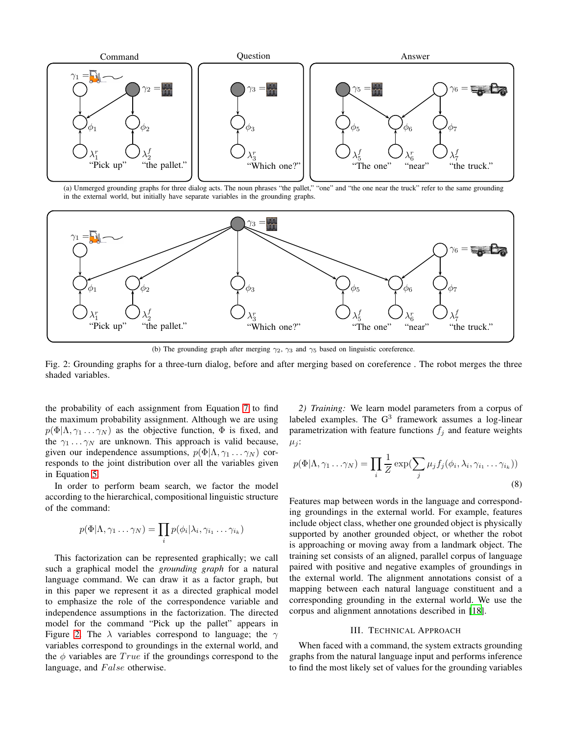<span id="page-2-0"></span>

(a) Unmerged grounding graphs for three dialog acts. The noun phrases "the pallet," "one" and "the one near the truck" refer to the same grounding in the external world, but initially have separate variables in the grounding graphs.



(b) The grounding graph after merging  $\gamma_2$ ,  $\gamma_3$  and  $\gamma_5$  based on linguistic coreference.

Fig. 2: Grounding graphs for a three-turn dialog, before and after merging based on coreference . The robot merges the three shaded variables.

the probability of each assignment from Equation [7](#page-1-0) to find the maximum probability assignment. Although we are using  $p(\Phi|\Lambda, \gamma_1 \dots \gamma_N)$  as the objective function,  $\Phi$  is fixed, and the  $\gamma_1 \dots \gamma_N$  are unknown. This approach is valid because, given our independence assumptions,  $p(\Phi|\Lambda, \gamma_1 \dots \gamma_N)$  corresponds to the joint distribution over all the variables given in Equation [5.](#page-1-1)

In order to perform beam search, we factor the model according to the hierarchical, compositional linguistic structure of the command:

$$
p(\Phi|\Lambda, \gamma_1 \dots \gamma_N) = \prod_i p(\phi_i|\lambda_i, \gamma_{i_1} \dots \gamma_{i_k})
$$

This factorization can be represented graphically; we call such a graphical model the *grounding graph* for a natural language command. We can draw it as a factor graph, but in this paper we represent it as a directed graphical model to emphasize the role of the correspondence variable and independence assumptions in the factorization. The directed model for the command "Pick up the pallet" appears in Figure [2.](#page-2-0) The  $\lambda$  variables correspond to language; the  $\gamma$ variables correspond to groundings in the external world, and the  $\phi$  variables are  $True$  if the groundings correspond to the language, and  $False$  otherwise.

*2) Training:* We learn model parameters from a corpus of labeled examples. The  $G<sup>3</sup>$  framework assumes a log-linear parametrization with feature functions  $f_j$  and feature weights  $\mu_i$ :

$$
p(\Phi|\Lambda, \gamma_1 \dots \gamma_N) = \prod_i \frac{1}{Z} \exp(\sum_j \mu_j f_j(\phi_i, \lambda_i, \gamma_{i_1} \dots \gamma_{i_k}))
$$
\n(8)

Features map between words in the language and corresponding groundings in the external world. For example, features include object class, whether one grounded object is physically supported by another grounded object, or whether the robot is approaching or moving away from a landmark object. The training set consists of an aligned, parallel corpus of language paired with positive and negative examples of groundings in the external world. The alignment annotations consist of a mapping between each natural language constituent and a corresponding grounding in the external world. We use the corpus and alignment annotations described in [\[18\]](#page-7-3).

## III. TECHNICAL APPROACH

When faced with a command, the system extracts grounding graphs from the natural language input and performs inference to find the most likely set of values for the grounding variables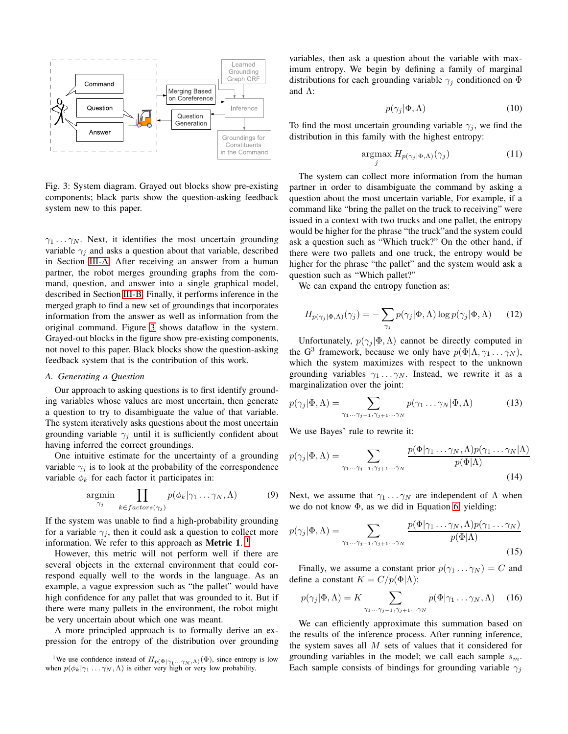<span id="page-3-1"></span>

Fig. 3: System diagram. Grayed out blocks show pre-existing components; black parts show the question-asking feedback system new to this paper.

 $\gamma_1 \dots \gamma_N$ . Next, it identifies the most uncertain grounding variable  $\gamma_i$  and asks a question about that variable, described in Section [III-A.](#page-3-0) After receiving an answer from a human partner, the robot merges grounding graphs from the command, question, and answer into a single graphical model, described in Section [III-B.](#page-4-0) Finally, it performs inference in the merged graph to find a new set of groundings that incorporates information from the answer as well as information from the original command. Figure [3](#page-3-1) shows dataflow in the system. Grayed-out blocks in the figure show pre-existing components, not novel to this paper. Black blocks show the question-asking feedback system that is the contribution of this work.

## <span id="page-3-0"></span>*A. Generating a Question*

Our approach to asking questions is to first identify grounding variables whose values are most uncertain, then generate a question to try to disambiguate the value of that variable. The system iteratively asks questions about the most uncertain grounding variable  $\gamma_i$  until it is sufficiently confident about having inferred the correct groundings.

One intuitive estimate for the uncertainty of a grounding variable  $\gamma_j$  is to look at the probability of the correspondence variable  $\phi_k$  for each factor it participates in:

$$
\underset{\gamma_j}{\text{argmin}} \prod_{k \in factors(\gamma_j)} p(\phi_k | \gamma_1 \dots \gamma_N, \Lambda) \tag{9}
$$

If the system was unable to find a high-probability grounding for a variable  $\gamma_i$ , then it could ask a question to collect more information. We refer to this approach as **Metric 1**. [1](#page-3-2)

However, this metric will not perform well if there are several objects in the external environment that could correspond equally well to the words in the language. As an example, a vague expression such as "the pallet" would have high confidence for any pallet that was grounded to it. But if there were many pallets in the environment, the robot might be very uncertain about which one was meant.

A more principled approach is to formally derive an expression for the entropy of the distribution over grounding

variables, then ask a question about the variable with maximum entropy. We begin by defining a family of marginal distributions for each grounding variable  $\gamma_j$  conditioned on  $\Phi$ and Λ:

$$
p(\gamma_j|\Phi,\Lambda) \tag{10}
$$

To find the most uncertain grounding variable  $\gamma_j$ , we find the distribution in this family with the highest entropy:

$$
\underset{j}{\text{argmax}} H_{p(\gamma_j|\Phi,\Lambda)}(\gamma_j) \tag{11}
$$

The system can collect more information from the human partner in order to disambiguate the command by asking a question about the most uncertain variable, For example, if a command like "bring the pallet on the truck to receiving" were issued in a context with two trucks and one pallet, the entropy would be higher for the phrase "the truck"and the system could ask a question such as "Which truck?" On the other hand, if there were two pallets and one truck, the entropy would be higher for the phrase "the pallet" and the system would ask a question such as "Which pallet?"

We can expand the entropy function as:

<span id="page-3-4"></span>
$$
H_{p(\gamma_j|\Phi,\Lambda)}(\gamma_j) = -\sum_{\gamma_j} p(\gamma_j|\Phi,\Lambda) \log p(\gamma_j|\Phi,\Lambda) \qquad (12)
$$

Unfortunately,  $p(\gamma_j | \Phi, \Lambda)$  cannot be directly computed in the G<sup>3</sup> framework, because we only have  $p(\Phi | \Lambda, \gamma_1 \dots \gamma_N)$ , which the system maximizes with respect to the unknown grounding variables  $\gamma_1 \dots \gamma_N$ . Instead, we rewrite it as a marginalization over the joint:

$$
p(\gamma_j|\Phi,\Lambda) = \sum_{\gamma_1...\gamma_{j-1},\gamma_{j+1}...\gamma_N} p(\gamma_1...\gamma_N|\Phi,\Lambda)
$$
 (13)

We use Bayes' rule to rewrite it:

$$
p(\gamma_j|\Phi,\Lambda) = \sum_{\gamma_1...\gamma_{j-1},\gamma_{j+1}...\gamma_N} \frac{p(\Phi|\gamma_1...\gamma_N,\Lambda)p(\gamma_1...\gamma_N|\Lambda)}{p(\Phi|\Lambda)}
$$
(14)

Next, we assume that  $\gamma_1 \dots \gamma_N$  are independent of  $\Lambda$  when we do not know  $\Phi$ , as we did in Equation [6,](#page-1-2) yielding:

$$
p(\gamma_j|\Phi,\Lambda) = \sum_{\gamma_1...\gamma_{j-1},\gamma_{j+1}...\gamma_N} \frac{p(\Phi|\gamma_1...\gamma_N,\Lambda)p(\gamma_1...\gamma_N)}{p(\Phi|\Lambda)}
$$
(15)

Finally, we assume a constant prior  $p(\gamma_1 \dots \gamma_N) = C$  and define a constant  $K = C/p(\Phi|\Lambda)$ :

<span id="page-3-3"></span>
$$
p(\gamma_j | \Phi, \Lambda) = K \sum_{\gamma_1 \dots \gamma_{j-1}, \gamma_{j+1} \dots \gamma_N} p(\Phi | \gamma_1 \dots \gamma_N, \Lambda) \quad (16)
$$

We can efficiently approximate this summation based on the results of the inference process. After running inference, the system saves all  $M$  sets of values that it considered for grounding variables in the model; we call each sample  $s_m$ . Each sample consists of bindings for grounding variable  $\gamma_j$ 

<span id="page-3-2"></span><sup>&</sup>lt;sup>1</sup>We use confidence instead of  $H_{p(\Phi|\gamma_1...\gamma_N,\Lambda)}(\Phi)$ , since entropy is low when  $p(\phi_k|\gamma_1...\gamma_N,\Lambda)$  is either very high or very low probability.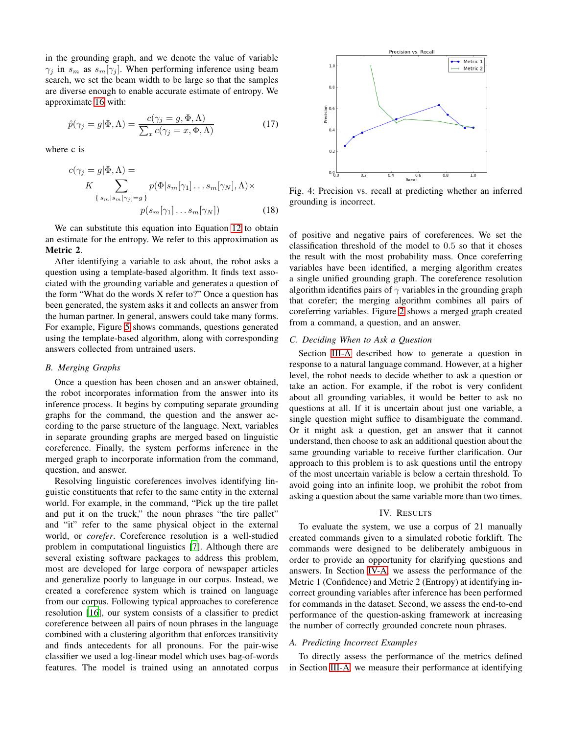in the grounding graph, and we denote the value of variable  $\gamma_j$  in  $s_m$  as  $s_m[\gamma_j]$ . When performing inference using beam search, we set the beam width to be large so that the samples are diverse enough to enable accurate estimate of entropy. We approximate [16](#page-3-3) with:

$$
\hat{p}(\gamma_j = g | \Phi, \Lambda) = \frac{c(\gamma_j = g, \Phi, \Lambda)}{\sum_x c(\gamma_j = x, \Phi, \Lambda)}
$$
(17)

where c is

$$
c(\gamma_j = g | \Phi, \Lambda) =
$$
  
\n
$$
K \sum_{\{s_m | s_m[\gamma_j] = g\}} p(\Phi | s_m[\gamma_1] \dots s_m[\gamma_N], \Lambda) \times
$$
  
\n
$$
p(s_m[\gamma_1] \dots s_m[\gamma_N])
$$
\n(18)

We can substitute this equation into Equation [12](#page-3-4) to obtain an estimate for the entropy. We refer to this approximation as **Metric 2**.

After identifying a variable to ask about, the robot asks a question using a template-based algorithm. It finds text associated with the grounding variable and generates a question of the form "What do the words X refer to?" Once a question has been generated, the system asks it and collects an answer from the human partner. In general, answers could take many forms. For example, Figure [5](#page-6-0) shows commands, questions generated using the template-based algorithm, along with corresponding answers collected from untrained users.

## <span id="page-4-0"></span>*B. Merging Graphs*

Once a question has been chosen and an answer obtained, the robot incorporates information from the answer into its inference process. It begins by computing separate grounding graphs for the command, the question and the answer according to the parse structure of the language. Next, variables in separate grounding graphs are merged based on linguistic coreference. Finally, the system performs inference in the merged graph to incorporate information from the command, question, and answer.

Resolving linguistic coreferences involves identifying linguistic constituents that refer to the same entity in the external world. For example, in the command, "Pick up the tire pallet and put it on the truck," the noun phrases "the tire pallet" and "it" refer to the same physical object in the external world, or *corefer*. Coreference resolution is a well-studied problem in computational linguistics [\[7\]](#page-7-7). Although there are several existing software packages to address this problem, most are developed for large corpora of newspaper articles and generalize poorly to language in our corpus. Instead, we created a coreference system which is trained on language from our corpus. Following typical approaches to coreference resolution [\[16](#page-7-8)], our system consists of a classifier to predict coreference between all pairs of noun phrases in the language combined with a clustering algorithm that enforces transitivity and finds antecedents for all pronouns. For the pair-wise classifier we used a log-linear model which uses bag-of-words features. The model is trained using an annotated corpus

<span id="page-4-2"></span>

Fig. 4: Precision vs. recall at predicting whether an inferred grounding is incorrect.

of positive and negative pairs of coreferences. We set the classification threshold of the model to 0.5 so that it choses the result with the most probability mass. Once coreferring variables have been identified, a merging algorithm creates a single unified grounding graph. The coreference resolution algorithm identifies pairs of  $\gamma$  variables in the grounding graph that corefer; the merging algorithm combines all pairs of coreferring variables. Figure [2](#page-2-0) shows a merged graph created from a command, a question, and an answer.

#### <span id="page-4-3"></span>*C. Deciding When to Ask a Question*

Section [III-A](#page-3-0) described how to generate a question in response to a natural language command. However, at a higher level, the robot needs to decide whether to ask a question or take an action. For example, if the robot is very confident about all grounding variables, it would be better to ask no questions at all. If it is uncertain about just one variable, a single question might suffice to disambiguate the command. Or it might ask a question, get an answer that it cannot understand, then choose to ask an additional question about the same grounding variable to receive further clarification. Our approach to this problem is to ask questions until the entropy of the most uncertain variable is below a certain threshold. To avoid going into an infinite loop, we prohibit the robot from asking a question about the same variable more than two times.

#### IV. RESULTS

To evaluate the system, we use a corpus of 21 manually created commands given to a simulated robotic forklift. The commands were designed to be deliberately ambiguous in order to provide an opportunity for clarifying questions and answers. In Section [IV-A,](#page-4-1) we assess the performance of the Metric 1 (Confidence) and Metric 2 (Entropy) at identifying incorrect grounding variables after inference has been performed for commands in the dataset. Second, we assess the end-to-end performance of the question-asking framework at increasing the number of correctly grounded concrete noun phrases.

### <span id="page-4-1"></span>*A. Predicting Incorrect Examples*

To directly assess the performance of the metrics defined in Section [III-A,](#page-3-0) we measure their performance at identifying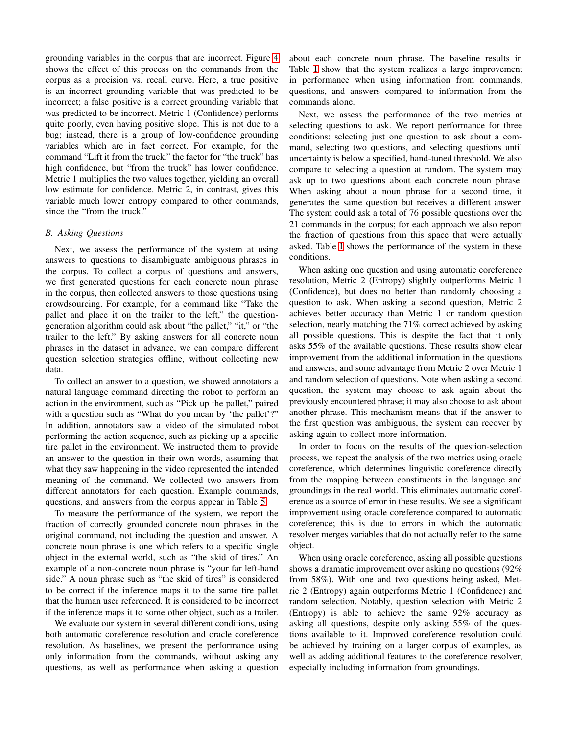grounding variables in the corpus that are incorrect. Figure [4](#page-4-2) shows the effect of this process on the commands from the corpus as a precision vs. recall curve. Here, a true positive is an incorrect grounding variable that was predicted to be incorrect; a false positive is a correct grounding variable that was predicted to be incorrect. Metric 1 (Confidence) performs quite poorly, even having positive slope. This is not due to a bug; instead, there is a group of low-confidence grounding variables which are in fact correct. For example, for the command "Lift it from the truck," the factor for "the truck" has high confidence, but "from the truck" has lower confidence. Metric 1 multiplies the two values together, yielding an overall low estimate for confidence. Metric 2, in contrast, gives this variable much lower entropy compared to other commands, since the "from the truck."

## *B. Asking Questions*

Next, we assess the performance of the system at using answers to questions to disambiguate ambiguous phrases in the corpus. To collect a corpus of questions and answers, we first generated questions for each concrete noun phrase in the corpus, then collected answers to those questions using crowdsourcing. For example, for a command like "Take the pallet and place it on the trailer to the left," the questiongeneration algorithm could ask about "the pallet," "it," or "the trailer to the left." By asking answers for all concrete noun phrases in the dataset in advance, we can compare different question selection strategies offline, without collecting new data.

To collect an answer to a question, we showed annotators a natural language command directing the robot to perform an action in the environment, such as "Pick up the pallet," paired with a question such as "What do you mean by 'the pallet'?" In addition, annotators saw a video of the simulated robot performing the action sequence, such as picking up a specific tire pallet in the environment. We instructed them to provide an answer to the question in their own words, assuming that what they saw happening in the video represented the intended meaning of the command. We collected two answers from different annotators for each question. Example commands, questions, and answers from the corpus appear in Table [5.](#page-6-0)

To measure the performance of the system, we report the fraction of correctly grounded concrete noun phrases in the original command, not including the question and answer. A concrete noun phrase is one which refers to a specific single object in the external world, such as "the skid of tires." An example of a non-concrete noun phrase is "your far left-hand side." A noun phrase such as "the skid of tires" is considered to be correct if the inference maps it to the same tire pallet that the human user referenced. It is considered to be incorrect if the inference maps it to some other object, such as a trailer.

We evaluate our system in several different conditions, using both automatic coreference resolution and oracle coreference resolution. As baselines, we present the performance using only information from the commands, without asking any questions, as well as performance when asking a question

about each concrete noun phrase. The baseline results in Table [I](#page-6-1) show that the system realizes a large improvement in performance when using information from commands, questions, and answers compared to information from the commands alone.

Next, we assess the performance of the two metrics at selecting questions to ask. We report performance for three conditions: selecting just one question to ask about a command, selecting two questions, and selecting questions until uncertainty is below a specified, hand-tuned threshold. We also compare to selecting a question at random. The system may ask up to two questions about each concrete noun phrase. When asking about a noun phrase for a second time, it generates the same question but receives a different answer. The system could ask a total of 76 possible questions over the 21 commands in the corpus; for each approach we also report the fraction of questions from this space that were actually asked. Table [I](#page-6-1) shows the performance of the system in these conditions.

When asking one question and using automatic coreference resolution, Metric 2 (Entropy) slightly outperforms Metric 1 (Confidence), but does no better than randomly choosing a question to ask. When asking a second question, Metric 2 achieves better accuracy than Metric 1 or random question selection, nearly matching the 71% correct achieved by asking all possible questions. This is despite the fact that it only asks 55% of the available questions. These results show clear improvement from the additional information in the questions and answers, and some advantage from Metric 2 over Metric 1 and random selection of questions. Note when asking a second question, the system may choose to ask again about the previously encountered phrase; it may also choose to ask about another phrase. This mechanism means that if the answer to the first question was ambiguous, the system can recover by asking again to collect more information.

In order to focus on the results of the question-selection process, we repeat the analysis of the two metrics using oracle coreference, which determines linguistic coreference directly from the mapping between constituents in the language and groundings in the real world. This eliminates automatic coreference as a source of error in these results. We see a significant improvement using oracle coreference compared to automatic coreference; this is due to errors in which the automatic resolver merges variables that do not actually refer to the same object.

When using oracle coreference, asking all possible questions shows a dramatic improvement over asking no questions (92% from 58%). With one and two questions being asked, Metric 2 (Entropy) again outperforms Metric 1 (Confidence) and random selection. Notably, question selection with Metric 2 (Entropy) is able to achieve the same 92% accuracy as asking all questions, despite only asking 55% of the questions available to it. Improved coreference resolution could be achieved by training on a larger corpus of examples, as well as adding additional features to the coreference resolver, especially including information from groundings.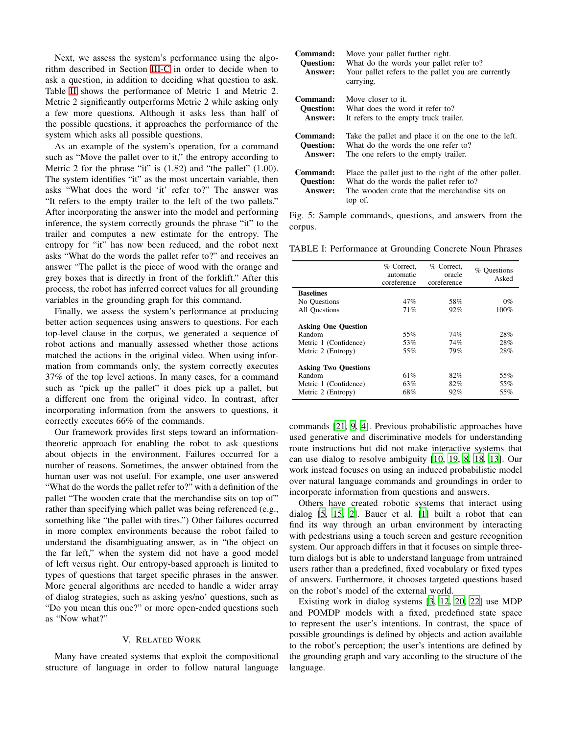Next, we assess the system's performance using the algorithm described in Section [III-C](#page-4-3) in order to decide when to ask a question, in addition to deciding what question to ask. Table [II](#page-7-9) shows the performance of Metric 1 and Metric 2. Metric 2 significantly outperforms Metric 2 while asking only a few more questions. Although it asks less than half of the possible questions, it approaches the performance of the system which asks all possible questions.

As an example of the system's operation, for a command such as "Move the pallet over to it," the entropy according to Metric 2 for the phrase "it" is  $(1.82)$  and "the pallet"  $(1.00)$ . The system identifies "it" as the most uncertain variable, then asks "What does the word 'it' refer to?" The answer was "It refers to the empty trailer to the left of the two pallets." After incorporating the answer into the model and performing inference, the system correctly grounds the phrase "it" to the trailer and computes a new estimate for the entropy. The entropy for "it" has now been reduced, and the robot next asks "What do the words the pallet refer to?" and receives an answer "The pallet is the piece of wood with the orange and grey boxes that is directly in front of the forklift." After this process, the robot has inferred correct values for all grounding variables in the grounding graph for this command.

Finally, we assess the system's performance at producing better action sequences using answers to questions. For each top-level clause in the corpus, we generated a sequence of robot actions and manually assessed whether those actions matched the actions in the original video. When using information from commands only, the system correctly executes 37% of the top level actions. In many cases, for a command such as "pick up the pallet" it does pick up a pallet, but a different one from the original video. In contrast, after incorporating information from the answers to questions, it correctly executes 66% of the commands.

Our framework provides first steps toward an informationtheoretic approach for enabling the robot to ask questions about objects in the environment. Failures occurred for a number of reasons. Sometimes, the answer obtained from the human user was not useful. For example, one user answered "What do the words the pallet refer to?" with a definition of the pallet "The wooden crate that the merchandise sits on top of" rather than specifying which pallet was being referenced (e.g., something like "the pallet with tires.") Other failures occurred in more complex environments because the robot failed to understand the disambiguating answer, as in "the object on the far left," when the system did not have a good model of left versus right. Our entropy-based approach is limited to types of questions that target specific phrases in the answer. More general algorithms are needed to handle a wider array of dialog strategies, such as asking yes/no' questions, such as "Do you mean this one?" or more open-ended questions such as "Now what?"

#### V. RELATED WORK

Many have created systems that exploit the compositional structure of language in order to follow natural language

<span id="page-6-0"></span>

| Command:<br><b>Question:</b><br>Answer: | Move your pallet further right.<br>What do the words your pallet refer to?<br>Your pallet refers to the pallet you are currently<br>carrying.                 |
|-----------------------------------------|---------------------------------------------------------------------------------------------------------------------------------------------------------------|
| Command:                                | Move closer to it.                                                                                                                                            |
| <b>Ouestion:</b>                        | What does the word it refer to?                                                                                                                               |
| Answer:                                 | It refers to the empty truck trailer.                                                                                                                         |
| Command:                                | Take the pallet and place it on the one to the left.                                                                                                          |
| <b>Ouestion:</b>                        | What do the words the one refer to?                                                                                                                           |
| Answer:                                 | The one refers to the empty trailer.                                                                                                                          |
| Command:<br><b>Question:</b><br>Answer: | Place the pallet just to the right of the other pallet.<br>What do the words the pallet refer to?<br>The wooden crate that the merchandise sits on<br>top of. |

Fig. 5: Sample commands, questions, and answers from the corpus.

<span id="page-6-1"></span>TABLE I: Performance at Grounding Concrete Noun Phrases

|                             | % Correct,<br>automatic<br>coreference | % Correct.<br>oracle<br>coreference | % Questions<br>Asked |
|-----------------------------|----------------------------------------|-------------------------------------|----------------------|
| <b>Baselines</b>            |                                        |                                     |                      |
| No Questions                | 47%                                    | 58%                                 | $0\%$                |
| All Ouestions               | 71%                                    | 92%                                 | 100%                 |
| <b>Asking One Question</b>  |                                        |                                     |                      |
| Random                      | 55%                                    | 74%                                 | 28%                  |
| Metric 1 (Confidence)       | 53%                                    | 74%                                 | 28%                  |
| Metric 2 (Entropy)          | 55%                                    | 79%                                 | 28%                  |
| <b>Asking Two Questions</b> |                                        |                                     |                      |
| Random                      | 61%                                    | 82%                                 | 55%                  |
| Metric 1 (Confidence)       | 63%                                    | 82%                                 | 55%                  |
| Metric 2 (Entropy)          | 68%                                    | 92%                                 | 55%                  |

commands [\[21](#page-7-10), [9](#page-7-11), [4\]](#page-7-12). Previous probabilistic approaches have used generative and discriminative models for understanding route instructions but did not make interactive systems that can use dialog to resolve ambiguity [\[10,](#page-7-13) [19,](#page-7-14) [8](#page-7-15), [18,](#page-7-3) [13\]](#page-7-16). Our work instead focuses on using an induced probabilistic model over natural language commands and groundings in order to incorporate information from questions and answers.

Others have created robotic systems that interact using dialog [\[5,](#page-7-17) [15,](#page-7-18) [2\]](#page-7-19). Bauer et al. [\[1](#page-7-2)] built a robot that can find its way through an urban environment by interacting with pedestrians using a touch screen and gesture recognition system. Our approach differs in that it focuses on simple threeturn dialogs but is able to understand language from untrained users rather than a predefined, fixed vocabulary or fixed types of answers. Furthermore, it chooses targeted questions based on the robot's model of the external world.

Existing work in dialog systems [\[3,](#page-7-0) [12](#page-7-20), [20,](#page-7-21) [22\]](#page-7-22) use MDP and POMDP models with a fixed, predefined state space to represent the user's intentions. In contrast, the space of possible groundings is defined by objects and action available to the robot's perception; the user's intentions are defined by the grounding graph and vary according to the structure of the language.